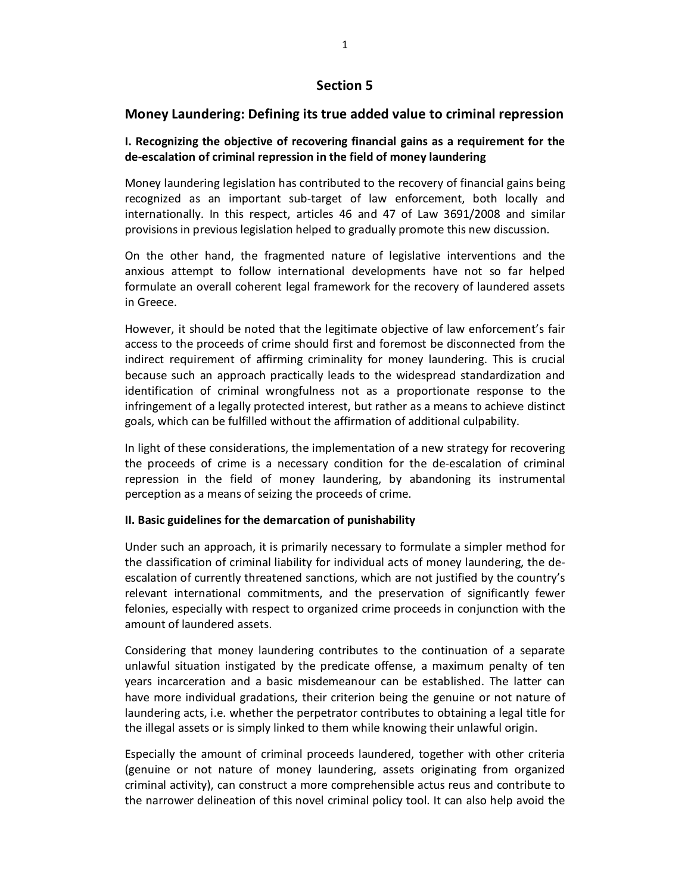# **Section 5**

## **Money Laundering: Defining its true added value to criminal repression**

### **I. Recognizing the objective of recovering financial gains as a requirement for the de-escalation of criminal repression in the field of money laundering**

Money laundering legislation has contributed to the recovery of financial gains being recognized as an important sub-target of law enforcement, both locally and internationally. In this respect, articles 46 and 47 of Law 3691/2008 and similar provisions in previous legislation helped to gradually promote this new discussion.

On the other hand, the fragmented nature of legislative interventions and the anxious attempt to follow international developments have not so far helped formulate an overall coherent legal framework for the recovery of laundered assets in Greece.

However, it should be noted that the legitimate objective of law enforcement's fair access to the proceeds of crime should first and foremost be disconnected from the indirect requirement of affirming criminality for money laundering. This is crucial because such an approach practically leads to the widespread standardization and identification of criminal wrongfulness not as a proportionate response to the infringement of a legally protected interest, but rather as a means to achieve distinct goals, which can be fulfilled without the affirmation of additional culpability.

In light of these considerations, the implementation of a new strategy for recovering the proceeds of crime is a necessary condition for the de-escalation of criminal repression in the field of money laundering, by abandoning its instrumental perception as a means of seizing the proceeds of crime.

#### **II. Basic guidelines for the demarcation of punishability**

Under such an approach, it is primarily necessary to formulate a simpler method for the classification of criminal liability for individual acts of money laundering, the deescalation of currently threatened sanctions, which are not justified by the country's relevant international commitments, and the preservation of significantly fewer felonies, especially with respect to organized crime proceeds in conjunction with the amount of laundered assets.

Considering that money laundering contributes to the continuation of a separate unlawful situation instigated by the predicate offense, a maximum penalty of ten years incarceration and a basic misdemeanour can be established. The latter can have more individual gradations, their criterion being the genuine or not nature of laundering acts, i.e. whether the perpetrator contributes to obtaining a legal title for the illegal assets or is simply linked to them while knowing their unlawful origin.

Especially the amount of criminal proceeds laundered, together with other criteria (genuine or not nature of money laundering, assets originating from organized criminal activity), can construct a more comprehensible actus reus and contribute to the narrower delineation of this novel criminal policy tool. It can also help avoid the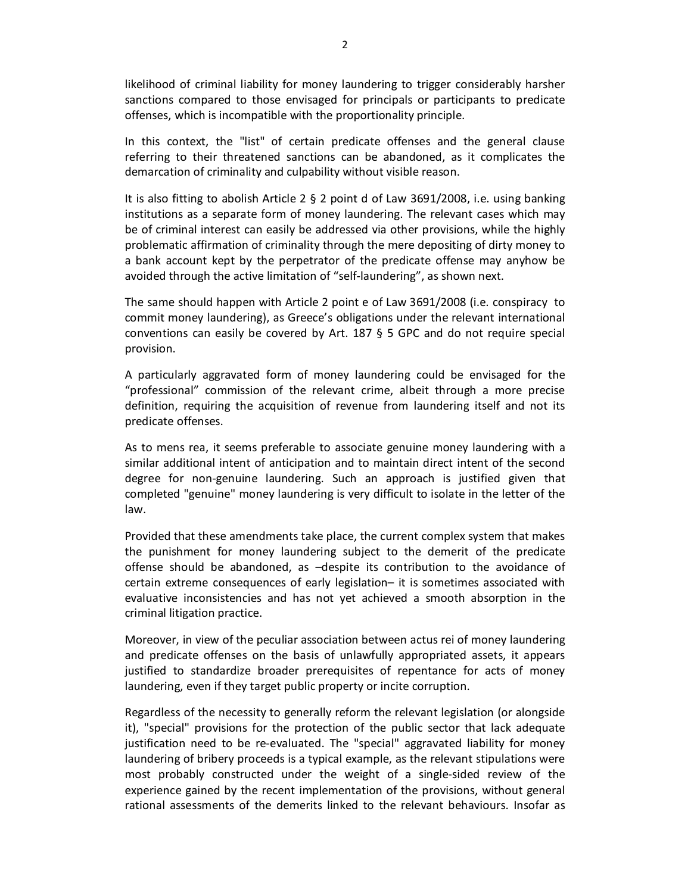likelihood of criminal liability for money laundering to trigger considerably harsher sanctions compared to those envisaged for principals or participants to predicate offenses, which is incompatible with the proportionality principle.

In this context, the "list" of certain predicate offenses and the general clause referring to their threatened sanctions can be abandoned, as it complicates the demarcation of criminality and culpability without visible reason.

It is also fitting to abolish Article 2 § 2 point d of Law 3691/2008, i.e. using banking institutions as a separate form of money laundering. The relevant cases which may be of criminal interest can easily be addressed via other provisions, while the highly problematic affirmation of criminality through the mere depositing of dirty money to a bank account kept by the perpetrator of the predicate offense may anyhow be avoided through the active limitation of "self-laundering", as shown next.

The same should happen with Article 2 point e of Law 3691/2008 (i.e. conspiracy to commit money laundering), as Greece's obligations under the relevant international conventions can easily be covered by Art. 187 § 5 GPC and do not require special provision.

A particularly aggravated form of money laundering could be envisaged for the "professional" commission of the relevant crime, albeit through a more precise definition, requiring the acquisition of revenue from laundering itself and not its predicate offenses.

As to mens rea, it seems preferable to associate genuine money laundering with a similar additional intent of anticipation and to maintain direct intent of the second degree for non-genuine laundering. Such an approach is justified given that completed "genuine" money laundering is very difficult to isolate in the letter of the law.

Provided that these amendments take place, the current complex system that makes the punishment for money laundering subject to the demerit of the predicate offense should be abandoned, as –despite its contribution to the avoidance of certain extreme consequences of early legislation– it is sometimes associated with evaluative inconsistencies and has not yet achieved a smooth absorption in the criminal litigation practice.

Moreover, in view of the peculiar association between actus rei of money laundering and predicate offenses on the basis of unlawfully appropriated assets, it appears justified to standardize broader prerequisites of repentance for acts of money laundering, even if they target public property or incite corruption.

Regardless of the necessity to generally reform the relevant legislation (or alongside it), "special" provisions for the protection of the public sector that lack adequate justification need to be re-evaluated. The "special" aggravated liability for money laundering of bribery proceeds is a typical example, as the relevant stipulations were most probably constructed under the weight of a single-sided review of the experience gained by the recent implementation of the provisions, without general rational assessments of the demerits linked to the relevant behaviours. Insofar as